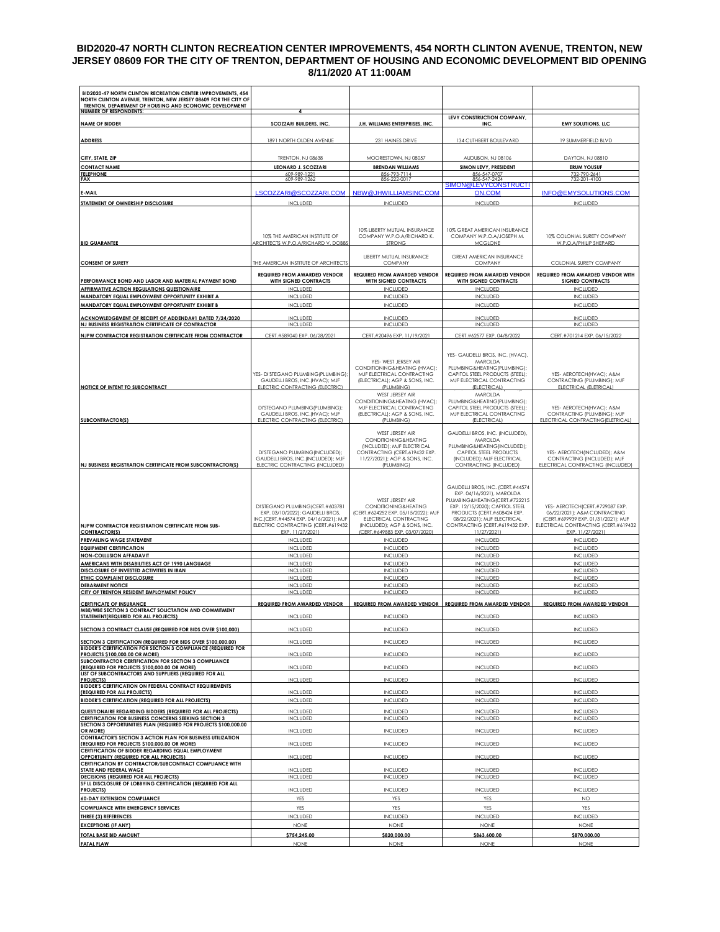### **BID2020-47 NORTH CLINTON RECREATION CENTER IMPROVEMENTS, 454 NORTH CLINTON AVENUE, TRENTON, NEW JERSEY 08609 FOR THE CITY OF TRENTON, DEPARTMENT OF HOUSING AND ECONOMIC DEVELOPMENT BID OPENING 8/11/2020 AT 11:00AM**

| BID2020-47 NORTH CLINTON RECREATION CENTER IMPROVEMENTS, 454<br>NORTH CLINTON AVENUE, TRENTON, NEW JERSEY 08609 FOR THE CITY OF |                                                                                                                                                                           |                                                                                                                                                                            |                                                                                                                                                                                                                                                  |                                                                                                                                                                    |
|---------------------------------------------------------------------------------------------------------------------------------|---------------------------------------------------------------------------------------------------------------------------------------------------------------------------|----------------------------------------------------------------------------------------------------------------------------------------------------------------------------|--------------------------------------------------------------------------------------------------------------------------------------------------------------------------------------------------------------------------------------------------|--------------------------------------------------------------------------------------------------------------------------------------------------------------------|
| TRENTON, DEPARTMENT OF HOUSING AND ECONOMIC DEVELOPMENT<br><b>NUMBER OF RESPONDENTS:</b>                                        | 4                                                                                                                                                                         |                                                                                                                                                                            | LEVY CONSTRUCTION COMPANY,                                                                                                                                                                                                                       |                                                                                                                                                                    |
| <b>NAME OF BIDDER</b>                                                                                                           | SCOZZARI BUILDERS, INC.                                                                                                                                                   | J.H. WILLIAMS ENTERPRISES, INC.                                                                                                                                            | INC.                                                                                                                                                                                                                                             | <b>EMY SOLUTIONS, LLC</b>                                                                                                                                          |
| <b>ADDRESS</b>                                                                                                                  | 1891 NORTH OLDEN AVENUE                                                                                                                                                   | 231 HAINES DRIVE                                                                                                                                                           | 134 CUTHBERT BOULEVARD                                                                                                                                                                                                                           | 19 SUMMERFIELD BLVD                                                                                                                                                |
| CITY, STATE, ZIP                                                                                                                | TRENTON, NJ 08638                                                                                                                                                         | MOORESTOWN, NJ 08057                                                                                                                                                       | AUDUBON, NJ 08106                                                                                                                                                                                                                                | DAYTON, NJ 08810                                                                                                                                                   |
| <b>CONTACT NAME</b>                                                                                                             | <b>LEONARD J. SCOZZARI</b>                                                                                                                                                | <b>BRENDAN WILLIAMS</b>                                                                                                                                                    | SIMON LEVY, PRESIDENT                                                                                                                                                                                                                            | <b>ERUM YOUSUF</b>                                                                                                                                                 |
| <b>TELEPHONE</b><br><b>FAX</b>                                                                                                  | 609-989-1221<br>609-989-1262                                                                                                                                              | 856-793-7114<br>856-222-0017                                                                                                                                               | 856-547-0707<br>856-547-2424                                                                                                                                                                                                                     | 732-790-2641<br>732-201-4100                                                                                                                                       |
|                                                                                                                                 |                                                                                                                                                                           |                                                                                                                                                                            | SIMON@LEVYCONSTRUCTI                                                                                                                                                                                                                             |                                                                                                                                                                    |
| E-MAIL                                                                                                                          | LSCOZZARI@SCOZZARI.COM                                                                                                                                                    | NBW@JHWILLIAMSINC.COM                                                                                                                                                      | ON.COM                                                                                                                                                                                                                                           | INFO@EMYSOLUTIONS.COM                                                                                                                                              |
| STATEMENT OF OWNERSHIP DISCLOSURE                                                                                               | <b>INCLUDED</b>                                                                                                                                                           | <b>INCLUDED</b>                                                                                                                                                            | <b>INCLUDED</b>                                                                                                                                                                                                                                  | <b>INCLUDED</b>                                                                                                                                                    |
| <b>BID GUARANTEE</b>                                                                                                            | 10% THE AMERICAN INSTITUTE OF<br>ARCHITECTS W.P.O.A/RICHARD V. DOBBS                                                                                                      | 10% LIBERTY MUTUAL INSURANCE<br>COMPANY W.P.O.A/RICHARD K.<br><b>STRONG</b>                                                                                                | 10% GREAT AMERICAN INSURANCE<br>COMPANY W.P.O.A/JOSEPH M.<br><b>MCGLONE</b>                                                                                                                                                                      | 10% COLONIAL SURETY COMPANY<br>W.P.O.A/PHILIP SHEPARD                                                                                                              |
| <b>CONSENT OF SURETY</b>                                                                                                        | THE AMERICAN INSTITUTE OF ARCHITECTS                                                                                                                                      | LIBERTY MUTUAL INSURANCE<br><b>COMPANY</b>                                                                                                                                 | GREAT AMERICAN INSURANCE<br>COMPANY                                                                                                                                                                                                              | COLONIAL SURETY COMPANY                                                                                                                                            |
|                                                                                                                                 | <b>REQUIRED FROM AWARDED VENDOR</b>                                                                                                                                       | <b>REQUIRED FROM AWARDED VENDOR</b>                                                                                                                                        | <b>REQUIRED FROM AWARDED VENDOR</b>                                                                                                                                                                                                              | REQUIRED FROM AWARDED VENDOR WITH                                                                                                                                  |
| PERFORMANCE BOND AND LABOR AND MATERIAL PAYMENT BOND                                                                            | WITH SIGNED CONTRACTS                                                                                                                                                     | WITH SIGNED CONTRACTS                                                                                                                                                      | WITH SIGNED CONTRACTS                                                                                                                                                                                                                            | <b>SIGNED CONTRACTS</b>                                                                                                                                            |
| AFFIRMATIVE ACTION REGULATIONS QUESTIONAIRE<br>MANDATORY EQUAL EMPLOYMENT OPPORTUNITY EXHIBIT A                                 | <b>INCLUDED</b><br><b>INCLUDED</b>                                                                                                                                        | <b>INCLUDED</b><br><b>INCLUDED</b>                                                                                                                                         | INCLUDED<br><b>INCLUDED</b>                                                                                                                                                                                                                      | <b>INCLUDED</b><br><b>INCLUDED</b>                                                                                                                                 |
| MANDATORY EQUAL EMPLOYMENT OPPORTUNITY EXHIBIT B                                                                                | <b>INCLUDED</b>                                                                                                                                                           | <b>INCLUDED</b>                                                                                                                                                            | <b>INCLUDED</b>                                                                                                                                                                                                                                  | <b>INCLUDED</b>                                                                                                                                                    |
|                                                                                                                                 |                                                                                                                                                                           |                                                                                                                                                                            |                                                                                                                                                                                                                                                  | <b>INCLUDED</b>                                                                                                                                                    |
| ACKNOWLEDGEMENT OF RECEIPT OF ADDENDA#1 DATED 7/24/2020<br><b>NJ BUSINESS REGISTRATION CERTIFICATE OF CONTRACTOR</b>            | INCLUDED<br><b>INCLUDED</b>                                                                                                                                               | <b>INCLUDED</b><br><b>INCLUDED</b>                                                                                                                                         | <b>INCLUDED</b><br>INCLUDED                                                                                                                                                                                                                      | <b>INCLUDED</b>                                                                                                                                                    |
| NJPW CONTRACTOR REGISTRATION CERTIFICATE FROM CONTRACTOR                                                                        | CERT.#589040 EXP. 06/28/2021                                                                                                                                              | CERT.#20496 EXP. 11/19/2021                                                                                                                                                | CERT.#62577 EXP. 04/8/2022                                                                                                                                                                                                                       | CERT.#701214 EXP. 06/15/2022                                                                                                                                       |
| NOTICE OF INTENT TO SUBCONTRACT                                                                                                 | YES- DI'STEGANO PLUMBING (PLUMBING);<br>GAUDELLI BROS, INC. (HVAC); MJF<br>ELECTRIC CONTRACTING (ELECTRIC)                                                                | YES- WEST JERSEY AIR<br>CONDITIONING&HEATING (HVAC);<br>MJF ELECTRICAL CONTRACTING<br>(ELECTRICAL); AGP & SONS, INC.<br>(PLUMBING)                                         | YES- GAUDELLI BROS, INC. (HVAC),<br>MAROLDA<br>PLUMBING&HEATING(PLUMBING);<br>CAPITOL STEEL PRODUCTS (STEEL);<br>MJF ELECTRICAL CONTRACTING<br>(ELECTRICAL)                                                                                      | YES- AEROTECH(HVAC); A&M<br>CONTRACTING (PLUMBING); MJF<br>ELECTRICAL (ELETRICAL)                                                                                  |
| <b>SUBCONTRACTOR(S)</b>                                                                                                         | DI'STEGANO PLUMBING (PLUMBING);<br>GAUDELLI BROS, INC. (HVAC); MJF<br>ELECTRIC CONTRACTING (ELECTRIC)                                                                     | WEST JERSEY AIR<br>CONDITIONING&HEATING (HVAC);<br>MJF ELECTRICAL CONTRACTING<br>(ELECTRICAL); AGP & SONS, INC.<br>(PLUMBING)                                              | MAROLDA<br>PLUMBING&HEATING (PLUMBING):<br>CAPITOL STEEL PRODUCTS (STEEL);<br>MJF ELECTRICAL CONTRACTING<br>(ELECTRICAL)                                                                                                                         | YES- AEROTECH(HVAC); A&M<br>CONTRACTING (PLUMBING); MJF<br>ELECTRICAL CONTRACTING (ELETRICAL)                                                                      |
| NJ BUSINESS REGISTRATION CERTIFICATE FROM SUBCONTRACTOR(S)                                                                      | DI'STEGANO PLUMBING (INCLUDED);<br>GAUDELLI BROS, INC. (INCLUDED); MJF<br>ELECTRIC CONTRACTING (INCLUDED)                                                                 | WEST JERSEY AIR<br>CONDITIONING & HEATING<br>(INCLUDED); MJF ELECTRICAL<br>CONTRACTING (CERT.619432 EXP.<br>11/27/2021); AGP & SONS, INC.<br>(PLUMBING)                    | GAUDELLI BROS, INC. (INCLUDED),<br>MAROLDA<br>PLUMBING&HEATING (INCLUDED);<br>CAPITOL STEEL PRODUCTS<br>(INCLUDED); MJF ELECTRICAL<br><b>CONTRACTING (INCLUDED)</b>                                                                              | YES- AEROTECH (INCLUDED); A&M<br>CONTRACTING (INCLUDED); MJF<br>ELECTRICAL CONTRACTING (INCLUDED)                                                                  |
| NJPW CONTRACTOR REGISTRATION CERTIFICATE FROM SUB-<br><b>CONTRACTOR(S)</b>                                                      | DI'STEGANO PLUMBING (CERT.#603781<br>EXP. 03/10/2022); GAUDELLI BROS,<br>INC.(CERT.#44574 EXP. 04/16/2021); MJF<br>ELECTRIC CONTRACTING (CERT.#619432<br>EXP. 11/27/2021) | WEST JERSEY AIR<br>CONDITIONING&HEATING<br>(CERT.#624252 EXP. 05/15/2022); MJF<br>ELECTRICAL CONTRACTING<br>(INCLUDED); AGP & SONS, INC.<br>(CERT.#649883 EXP. 03/07/2020) | GAUDELLI BROS, INC. (CERT.#44574<br>EXP. 04/16/2021), MAROLDA<br>PLUMBING&HEATING (CERT.#722215<br>EXP. 12/15/2020); CAPITOL STEEL<br>PRODUCTS (CERT.#608424 EXP.<br>08/22/2021); MJF ELECTRICAL<br>CONTRACTING (CERT.#619432 EXP.<br>11/27/2021 | YES- AEROTECH (CERT.#729087 EXP.<br>06/22/2021); A&M CONTRACTING<br>(CERT.#699939 EXP. 01/31/2021); MJF<br>ELECTRICAL CONTRACTING (CERT.#619432<br>EXP. 11/27/2021 |
| PREVAILING WAGE STATEMENT                                                                                                       | <b>INCLUDED</b>                                                                                                                                                           | <b>INCLUDED</b>                                                                                                                                                            | INCLUDED                                                                                                                                                                                                                                         | <b>INCLUDED</b>                                                                                                                                                    |
| <b>EQUIPMENT CERTIFICATION</b>                                                                                                  | <b>INCLUDED</b>                                                                                                                                                           | <b>INCLUDED</b>                                                                                                                                                            | <b>INCLUDED</b>                                                                                                                                                                                                                                  | <b>INCLUDED</b>                                                                                                                                                    |
| <b>NON-COLLUSION AFFADAVIT</b><br>AMERICANS WITH DISABILITIES ACT OF 1990 LANGUAGE                                              | <b>INCLUDED</b><br><b>INCLUDED</b>                                                                                                                                        | <b>INCLUDED</b><br><b>INCLUDED</b>                                                                                                                                         | <b>INCLUDED</b><br><b>INCLUDED</b>                                                                                                                                                                                                               | <b>INCLUDED</b><br><b>INCLUDED</b>                                                                                                                                 |
| DISCLOSURE OF INVESTED ACTIVITIES IN IRAN                                                                                       | <b>INCLUDED</b>                                                                                                                                                           | <b>INCLUDED</b>                                                                                                                                                            | INCLUDED                                                                                                                                                                                                                                         | <b>INCLUDED</b>                                                                                                                                                    |
| ETHIC COMPLAINT DISCLOSURE                                                                                                      | <b>INCLUDED</b>                                                                                                                                                           | <b>INCLUDED</b>                                                                                                                                                            | <b>INCLUDED</b>                                                                                                                                                                                                                                  | <b>INCLUDED</b>                                                                                                                                                    |
| <b>DEBARMENT NOTICE</b><br>CITY OF TRENTON RESIDENT EMPLOYMENT POLICY                                                           | <b>INCLUDED</b><br><b>INCLUDED</b>                                                                                                                                        | <b>INCLUDED</b><br>INCLUDED                                                                                                                                                | <b>INCLUDED</b><br>INCLUDED                                                                                                                                                                                                                      | <b>INCLUDED</b><br><b>INCLUDED</b>                                                                                                                                 |
| <b>CERTIFICATE OF INSURANCE</b>                                                                                                 | <b>REQUIRED FROM AWARDED VENDOR</b>                                                                                                                                       | REQUIRED FROM AWARDED VENDOR   REQUIRED FROM AWARDED VENDOR                                                                                                                |                                                                                                                                                                                                                                                  | <b>REQUIRED FROM AWARDED VENDOR</b>                                                                                                                                |
| MBE/WBE SECTION 3 CONTRACT SOLICTATION AND COMMITMENT<br>STATEMENT(REQUIRED FOR ALL PROJECTS)                                   | <b>INCLUDED</b>                                                                                                                                                           | <b>INCLUDED</b>                                                                                                                                                            | INCLUDED                                                                                                                                                                                                                                         | <b>INCLUDED</b>                                                                                                                                                    |
|                                                                                                                                 |                                                                                                                                                                           |                                                                                                                                                                            |                                                                                                                                                                                                                                                  |                                                                                                                                                                    |
| SECTION 3 CONTRACT CLAUSE (REQUIRED FOR BIDS OVER \$100,000)                                                                    | <b>INCLUDED</b>                                                                                                                                                           | <b>INCLUDED</b>                                                                                                                                                            | <b>INCLUDED</b>                                                                                                                                                                                                                                  | <b>INCLUDED</b>                                                                                                                                                    |
| SECTION 3 CERTIFICATION (REQUIRED FOR BIDS OVER \$100,000.00)<br>BIDDER'S CERTIFICATION FOR SECTION 3 COMPLIANCE (REQUIRED FOR  | <b>INCLUDED</b>                                                                                                                                                           | <b>INCLUDED</b>                                                                                                                                                            | INCLUDED                                                                                                                                                                                                                                         | <b>INCLUDED</b>                                                                                                                                                    |
| PROJECTS \$100,000.00 OR MORE)<br><b>SUBCONTRACTOR CERTIFICATION FOR SECTION 3 COMPLIANCE</b>                                   | INCLUDED                                                                                                                                                                  | INCLUDED                                                                                                                                                                   | <b>INCLUDED</b>                                                                                                                                                                                                                                  | <b>INCLUDED</b>                                                                                                                                                    |
| (REQUIRED FOR PROJECTS \$100,000.00 OR MORE)<br>LIST OF SUBCONTRACTORS AND SUPPLIERS (REQUIRED FOR ALL<br><b>PROJECTS)</b>      | <b>INCLUDED</b><br><b>INCLUDED</b>                                                                                                                                        | <b>INCLUDED</b><br><b>INCLUDED</b>                                                                                                                                         | <b>INCLUDED</b><br>INCLUDED                                                                                                                                                                                                                      | <b>INCLUDED</b><br><b>INCLUDED</b>                                                                                                                                 |
| BIDDER'S CERTIFICATION ON FEDERAL CONTRACT REQUIREMENTS                                                                         |                                                                                                                                                                           |                                                                                                                                                                            |                                                                                                                                                                                                                                                  |                                                                                                                                                                    |
| (REQUIRED FOR ALL PROJECTS)<br><b>BIDDER'S CERTIFICATION (REQUIRED FOR ALL PROJECTS)</b>                                        | <b>INCLUDED</b><br><b>INCLUDED</b>                                                                                                                                        | <b>INCLUDED</b><br><b>INCLUDED</b>                                                                                                                                         | <b>INCLUDED</b><br><b>INCLUDED</b>                                                                                                                                                                                                               | <b>INCLUDED</b><br><b>INCLUDED</b>                                                                                                                                 |
|                                                                                                                                 |                                                                                                                                                                           |                                                                                                                                                                            |                                                                                                                                                                                                                                                  |                                                                                                                                                                    |
| QUESTIONAIRE REGARDING BIDDERS (REQUIRED FOR ALL PROJECTS)<br><b>CERTIFICATION FOR BUSINESS CONCERNS SEEKING SECTION 3</b>      | <b>INCLUDED</b><br>INCLUDED                                                                                                                                               | <b>INCLUDED</b><br>INCLUDED                                                                                                                                                | <b>INCLUDED</b><br>INCLUDED                                                                                                                                                                                                                      | <b>INCLUDED</b><br><b>INCLUDED</b>                                                                                                                                 |
| SECTION 3 OPPORTUNITIES PLAN (REQUIRED FOR PROJECTS \$100,000.00<br>OR MORE)                                                    | <b>INCLUDED</b>                                                                                                                                                           | <b>INCLUDED</b>                                                                                                                                                            | <b>INCLUDED</b>                                                                                                                                                                                                                                  | <b>INCLUDED</b>                                                                                                                                                    |
| <b>CONTRACTOR'S SECTION 3 ACTION PLAN FOR BUSINESS UTILIZATION</b><br>(REQUIRED FOR PROJECTS \$100,000.00 OR MORE)              | <b>INCLUDED</b>                                                                                                                                                           | <b>INCLUDED</b>                                                                                                                                                            | <b>INCLUDED</b>                                                                                                                                                                                                                                  | <b>INCLUDED</b>                                                                                                                                                    |
| CERTIFICATION OF BIDDER REGARDING EQUAL EMPLOYMENT                                                                              |                                                                                                                                                                           |                                                                                                                                                                            |                                                                                                                                                                                                                                                  |                                                                                                                                                                    |
| OPPORTUNITY (REQUIRED FOR ALL PROJECTS)<br>CERTIFICATION BY CONTRACTOR/SUBCONTRACT COMPLIANCE WITH                              | INCLUDED                                                                                                                                                                  | INCLUDED                                                                                                                                                                   | INCLUDED                                                                                                                                                                                                                                         | <b>INCLUDED</b>                                                                                                                                                    |
| STATE AND FEDERAL WAGE                                                                                                          | <b>INCLUDED</b><br><b>INCLUDED</b>                                                                                                                                        | <b>INCLUDED</b><br><b>INCLUDED</b>                                                                                                                                         | <b>INCLUDED</b><br><b>INCLUDED</b>                                                                                                                                                                                                               | <b>INCLUDED</b><br><b>INCLUDED</b>                                                                                                                                 |
| <b>DECISIONS (REQUIRED FOR ALL PROJECTS)</b><br>SF LL DISCLOSURE OF LOBBYING CERTIFICATION (REQUIRED FOR ALL                    |                                                                                                                                                                           |                                                                                                                                                                            |                                                                                                                                                                                                                                                  |                                                                                                                                                                    |
| <b>PROJECTS)</b>                                                                                                                | <b>INCLUDED</b>                                                                                                                                                           | <b>INCLUDED</b>                                                                                                                                                            | <b>INCLUDED</b>                                                                                                                                                                                                                                  | <b>INCLUDED</b>                                                                                                                                                    |
| <b>60-DAY EXTENSION COMPLIANCE</b>                                                                                              | YES                                                                                                                                                                       | YES                                                                                                                                                                        | YES                                                                                                                                                                                                                                              | <b>NO</b>                                                                                                                                                          |
| <b>COMPLIANCE WITH EMERGENCY SERVICES</b><br>THREE (3) REFERENCES                                                               | YES<br><b>INCLUDED</b>                                                                                                                                                    | YES<br><b>INCLUDED</b>                                                                                                                                                     | YES<br><b>INCLUDED</b>                                                                                                                                                                                                                           | <b>YES</b><br><b>INCLUDED</b>                                                                                                                                      |
| <b>EXCEPTIONS (IF ANY)</b>                                                                                                      | <b>NONE</b>                                                                                                                                                               | <b>NONE</b>                                                                                                                                                                | <b>NONE</b>                                                                                                                                                                                                                                      | <b>NONE</b>                                                                                                                                                        |
| <b>TOTAL BASE BID AMOUNT</b>                                                                                                    | \$754,245.00                                                                                                                                                              | \$820,000.00                                                                                                                                                               | \$863,600.00                                                                                                                                                                                                                                     | \$870,000.00                                                                                                                                                       |
| <b>FATAL FLAW</b>                                                                                                               | <b>NONE</b>                                                                                                                                                               | <b>NONE</b>                                                                                                                                                                | <b>NONE</b>                                                                                                                                                                                                                                      | <b>NONE</b>                                                                                                                                                        |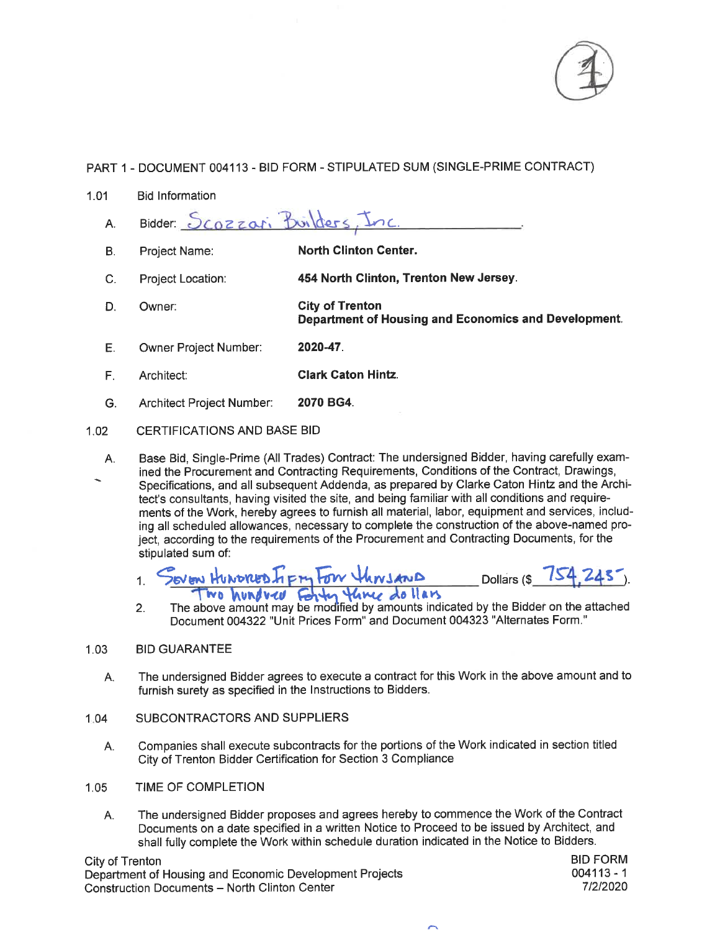

- $1.01$ **Bid Information** 
	- Bidder: Scozzari Builders Inc  $A<sub>1</sub>$
	- **North Clinton Center. B.** Project Name:
	- C. Project Location: 454 North Clinton, Trenton New Jersey.
	- **City of Trenton** D. Owner: **Department of Housing and Economics and Development.**
	- Ε. Owner Project Number: 2020-47.
	- F. Architect: **Clark Caton Hintz.**
	- G. Architect Project Number: 2070 BG4.

### $1.02$ **CERTIFICATIONS AND BASE BID**

Base Bid, Single-Prime (All Trades) Contract: The undersigned Bidder, having carefully exam-A. ined the Procurement and Contracting Requirements, Conditions of the Contract, Drawings,

Specifications, and all subsequent Addenda, as prepared by Clarke Caton Hintz and the Architect's consultants, having visited the site, and being familiar with all conditions and requirements of the Work, hereby agrees to furnish all material, labor, equipment and services, including all scheduled allowances, necessary to complete the construction of the above-named project, according to the requirements of the Procurement and Contracting Documents, for the stipulated sum of:

- JOVEN HUNDRED FIFTY FOW HINSAND Dollars (\$  $\mathbf{1}$ Two hundred Forty three dollars
- The above amount may be modified by amounts indicated by the Bidder on the attached  $2.$ Document 004322 "Unit Prices Form" and Document 004323 "Alternates Form."

#### $1.03$ **BID GUARANTEE**

- The undersigned Bidder agrees to execute a contract for this Work in the above amount and to А. furnish surety as specified in the Instructions to Bidders.
- SUBCONTRACTORS AND SUPPLIERS  $1.04$ 
	- Companies shall execute subcontracts for the portions of the Work indicated in section titled А. City of Trenton Bidder Certification for Section 3 Compliance
- TIME OF COMPLETION  $1.05$ 
	- The undersigned Bidder proposes and agrees hereby to commence the Work of the Contract Α. Documents on a date specified in a written Notice to Proceed to be issued by Architect, and shall fully complete the Work within schedule duration indicated in the Notice to Bidders.

City of Trenton Department of Housing and Economic Development Projects **Construction Documents - North Clinton Center**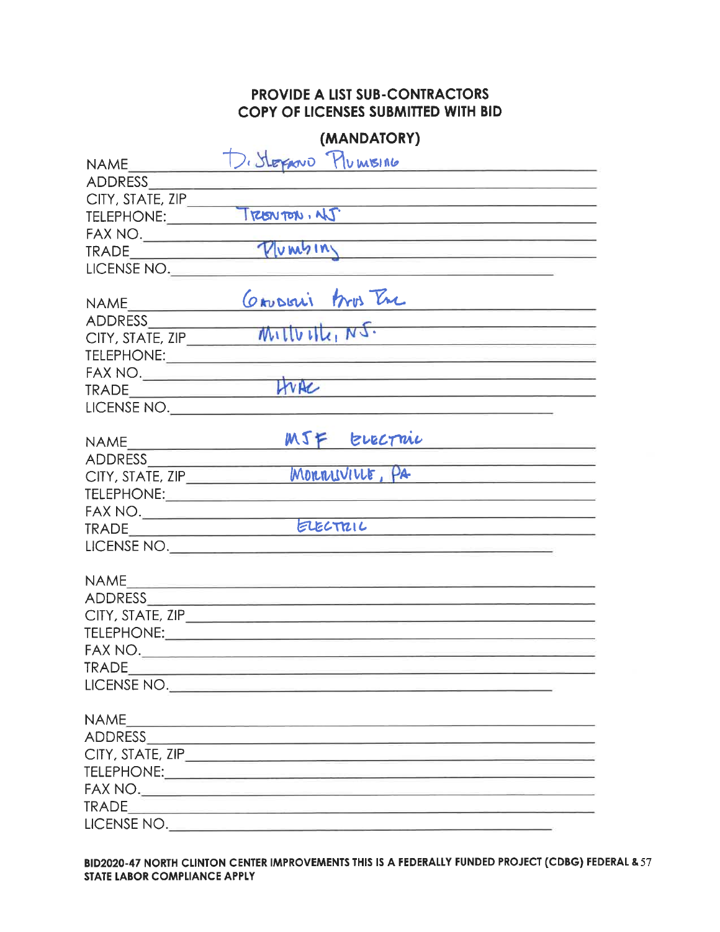|                                                                                                                                                                                                                                                                                                                                                     | (MANDATORY)                                                                                                                                                                                                                                  |  |
|-----------------------------------------------------------------------------------------------------------------------------------------------------------------------------------------------------------------------------------------------------------------------------------------------------------------------------------------------------|----------------------------------------------------------------------------------------------------------------------------------------------------------------------------------------------------------------------------------------------|--|
| NAME                                                                                                                                                                                                                                                                                                                                                | D. StepAND PlumsING                                                                                                                                                                                                                          |  |
| ADDRESS                                                                                                                                                                                                                                                                                                                                             |                                                                                                                                                                                                                                              |  |
|                                                                                                                                                                                                                                                                                                                                                     | CITY, STATE, ZIP                                                                                                                                                                                                                             |  |
|                                                                                                                                                                                                                                                                                                                                                     | <u> Alexandria de la contrada de la contrada de la contrada de la contrada de la contrada de la contrada de la c</u>                                                                                                                         |  |
|                                                                                                                                                                                                                                                                                                                                                     | <u> 1990 - André Galile, amerikan per</u>                                                                                                                                                                                                    |  |
|                                                                                                                                                                                                                                                                                                                                                     | FAX NO. TRADE<br><u> 1989 - Johann Barn, mars eta biztanleria (</u>                                                                                                                                                                          |  |
| LICENSE NO.                                                                                                                                                                                                                                                                                                                                         |                                                                                                                                                                                                                                              |  |
|                                                                                                                                                                                                                                                                                                                                                     |                                                                                                                                                                                                                                              |  |
| NAME                                                                                                                                                                                                                                                                                                                                                | CAUDERI Aros Tre                                                                                                                                                                                                                             |  |
|                                                                                                                                                                                                                                                                                                                                                     | Mullville, N5.                                                                                                                                                                                                                               |  |
| CITY, STATE, ZIP                                                                                                                                                                                                                                                                                                                                    |                                                                                                                                                                                                                                              |  |
|                                                                                                                                                                                                                                                                                                                                                     | <u> 1959 - Jan Berlin, manatar ang katalog ang pag</u>                                                                                                                                                                                       |  |
| $\begin{picture}(180,10) \put(0,0){\line(1,0){100}} \put(0,0){\line(1,0){100}} \put(0,0){\line(1,0){100}} \put(0,0){\line(1,0){100}} \put(0,0){\line(1,0){100}} \put(0,0){\line(1,0){100}} \put(0,0){\line(1,0){100}} \put(0,0){\line(1,0){100}} \put(0,0){\line(1,0){100}} \put(0,0){\line(1,0){100}} \put(0,0){\line(1,0){100}} \put(0,0){\line($ | <u> San American Service (Service Service Service Service Service Service Service Service Service Service Service Service Service Service Service Service Service Service Service Service Service Service Service Service Servic</u><br>HUAC |  |
| TRADE                                                                                                                                                                                                                                                                                                                                               | <u> 1980 - Andrea Andrew Marie II, amerikan</u>                                                                                                                                                                                              |  |
|                                                                                                                                                                                                                                                                                                                                                     | LICENSE NO.                                                                                                                                                                                                                                  |  |
|                                                                                                                                                                                                                                                                                                                                                     | MJF EVECTMU                                                                                                                                                                                                                                  |  |
| ADDRESS                                                                                                                                                                                                                                                                                                                                             |                                                                                                                                                                                                                                              |  |
| CITY, STATE, ZIP                                                                                                                                                                                                                                                                                                                                    | MORRIVILLE, PA                                                                                                                                                                                                                               |  |
|                                                                                                                                                                                                                                                                                                                                                     |                                                                                                                                                                                                                                              |  |
|                                                                                                                                                                                                                                                                                                                                                     |                                                                                                                                                                                                                                              |  |
|                                                                                                                                                                                                                                                                                                                                                     | ELECTRIC<br>the control of the control of the control of the control of the control of                                                                                                                                                       |  |
|                                                                                                                                                                                                                                                                                                                                                     | LICENSE NO.                                                                                                                                                                                                                                  |  |
|                                                                                                                                                                                                                                                                                                                                                     |                                                                                                                                                                                                                                              |  |
|                                                                                                                                                                                                                                                                                                                                                     | NAME                                                                                                                                                                                                                                         |  |
|                                                                                                                                                                                                                                                                                                                                                     |                                                                                                                                                                                                                                              |  |
|                                                                                                                                                                                                                                                                                                                                                     |                                                                                                                                                                                                                                              |  |
|                                                                                                                                                                                                                                                                                                                                                     | TELEPHONE: TELEPHONE:                                                                                                                                                                                                                        |  |
| FAX NO.                                                                                                                                                                                                                                                                                                                                             |                                                                                                                                                                                                                                              |  |
|                                                                                                                                                                                                                                                                                                                                                     | TRADE                                                                                                                                                                                                                                        |  |
|                                                                                                                                                                                                                                                                                                                                                     | LICENSE NO.                                                                                                                                                                                                                                  |  |
| <b>NAME</b>                                                                                                                                                                                                                                                                                                                                         |                                                                                                                                                                                                                                              |  |
|                                                                                                                                                                                                                                                                                                                                                     | <u> 1980 - Johann Harry Harry Harry Harry Harry Harry Harry Harry Harry Harry Harry Harry Harry Harry Harry Harry Harry Harry Harry Harry Harry Harry Harry Harry Harry Harry Harry Harry Harry Harry Harry Harry Harry Harry Ha</u>         |  |
|                                                                                                                                                                                                                                                                                                                                                     |                                                                                                                                                                                                                                              |  |
|                                                                                                                                                                                                                                                                                                                                                     |                                                                                                                                                                                                                                              |  |
|                                                                                                                                                                                                                                                                                                                                                     |                                                                                                                                                                                                                                              |  |
|                                                                                                                                                                                                                                                                                                                                                     |                                                                                                                                                                                                                                              |  |
|                                                                                                                                                                                                                                                                                                                                                     | LICENSE NO.                                                                                                                                                                                                                                  |  |
|                                                                                                                                                                                                                                                                                                                                                     |                                                                                                                                                                                                                                              |  |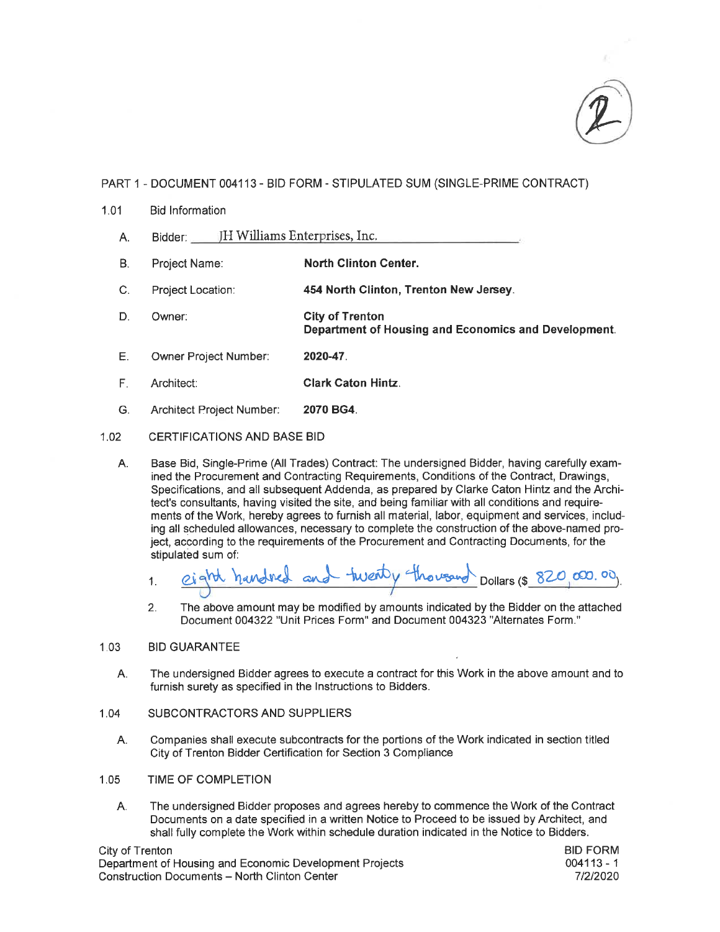

- $1.01$ **Bid Information** 
	- Bidder: JH Williams Enterprises, Inc.  $A<sub>1</sub>$
	- **B.** Project Name: **North Clinton Center.**
	- $\mathsf{C}$ . Project Location: 454 North Clinton, Trenton New Jersey.
	- **City of Trenton** D. Owner: Department of Housing and Economics and Development.
	- Owner Project Number: Ε. 2020-47.
	- $F_{\perp}$ **Clark Caton Hintz.** Architect:
	- G. Architect Project Number: 2070 BG4.

#### $1.02$ **CERTIFICATIONS AND BASE BID**

Base Bid, Single-Prime (All Trades) Contract: The undersigned Bidder, having carefully exam-Α. ined the Procurement and Contracting Requirements, Conditions of the Contract, Drawings, Specifications, and all subsequent Addenda, as prepared by Clarke Caton Hintz and the Architect's consultants, having visited the site, and being familiar with all conditions and requirements of the Work, hereby agrees to furnish all material, labor, equipment and services, including all scheduled allowances, necessary to complete the construction of the above-named project, according to the requirements of the Procurement and Contracting Documents, for the stipulated sum of:

eight handined and twenty thousand Dollars (\$ 820,000.00).  $1.$ 

 $2.$ The above amount may be modified by amounts indicated by the Bidder on the attached Document 004322 "Unit Prices Form" and Document 004323 "Alternates Form."

#### $1.03$ **BID GUARANTEE**

The undersigned Bidder agrees to execute a contract for this Work in the above amount and to А. furnish surety as specified in the Instructions to Bidders.

#### 1.04 SUBCONTRACTORS AND SUPPLIERS

- Companies shall execute subcontracts for the portions of the Work indicated in section titled Α. City of Trenton Bidder Certification for Section 3 Compliance
- $1.05$ TIME OF COMPLETION
	- The undersigned Bidder proposes and agrees hereby to commence the Work of the Contract A. Documents on a date specified in a written Notice to Proceed to be issued by Architect, and shall fully complete the Work within schedule duration indicated in the Notice to Bidders.

City of Trenton Department of Housing and Economic Development Projects **Construction Documents - North Clinton Center**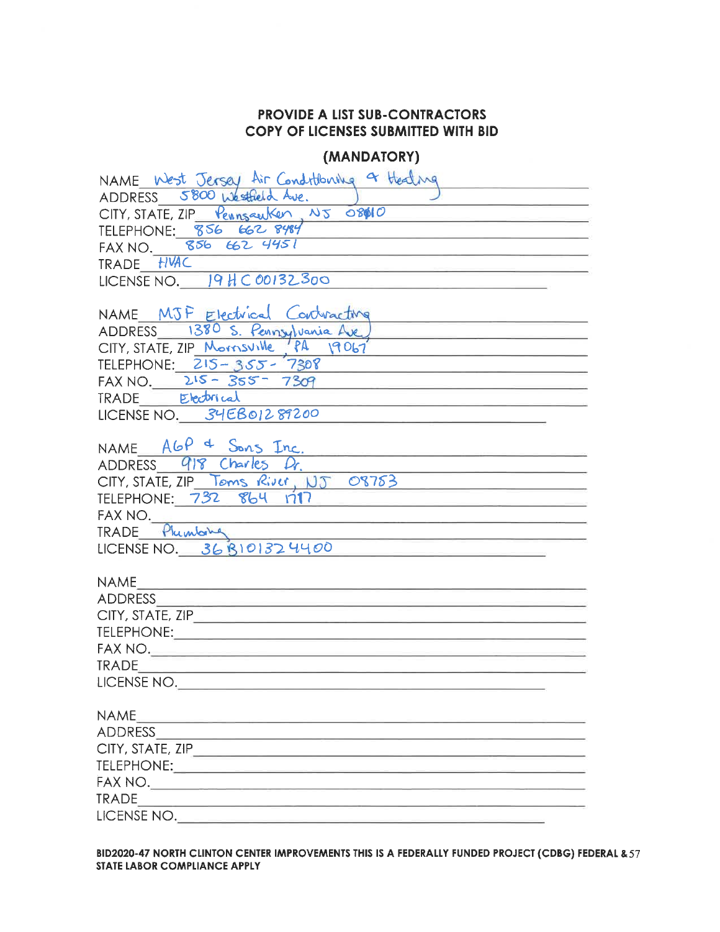### (MANDATORY)

| NAME West Jersey Air Conditioning or Healing                                                                                                             |
|----------------------------------------------------------------------------------------------------------------------------------------------------------|
| ADDRESS 5800 Westheld Ave.                                                                                                                               |
| CITY, STATE, ZIP Pennsauker, NJ 08010                                                                                                                    |
| TELEPHONE: 856 662 8484                                                                                                                                  |
| FAX NO. 856 662 4451                                                                                                                                     |
| TRADE HVAC                                                                                                                                               |
| LICENSE NO. $19HCO0132300$                                                                                                                               |
|                                                                                                                                                          |
| NAME MJF Electrical Contracting                                                                                                                          |
| ADDRESS 1380 S. Pennsylvania Ave<br><u> 1989 - Johann John Harry Harry Harry Harry Harry Harry Harry Harry Harry Harry Harry Harry Harry Harry Harry</u> |
| CITY, STATE, ZIP Mornsville PA 19067                                                                                                                     |
| TELEPHONE: 215-355-7308<br><u> 1989 - Johann John Stone, markin f</u>                                                                                    |
| $FAX NO. 215 - 355 - 7309$                                                                                                                               |
| TRADE Electrical                                                                                                                                         |
| LICENSE NO. 34EB01289200                                                                                                                                 |
|                                                                                                                                                          |
| NAME $AGP = S_{ons}$ Inc.<br><u> La provincia de la contrada de la c</u><br>ADDRESS 918 Charles Dr.                                                      |
|                                                                                                                                                          |
| CITY, STATE, ZIP Toms River, NJ 08783                                                                                                                    |
| TELEPHONE: 732 864 1717                                                                                                                                  |
| FAX NO.                                                                                                                                                  |
| TRADE Phimbing<br>LICENSE NO. 36 B101324400                                                                                                              |
|                                                                                                                                                          |
| <b>NAME</b>                                                                                                                                              |
| ADDRESS                                                                                                                                                  |
| CITY, STATE, ZIP                                                                                                                                         |
|                                                                                                                                                          |
| FAX NO.                                                                                                                                                  |
| TRADE <b>TRADE</b>                                                                                                                                       |
| LICENSE NO.                                                                                                                                              |
|                                                                                                                                                          |
| <b>NAME</b><br><u> 1989 - Angels Hermann, mengang mengang pada </u>                                                                                      |
|                                                                                                                                                          |
|                                                                                                                                                          |
|                                                                                                                                                          |
|                                                                                                                                                          |
| <b>TRADE</b><br><u> 1989 - Johann Stein, mars et al. 1989 - Anna ann an t-Anna ann an t-Anna ann an t-Anna ann an t-Anna ann an t-</u>                   |
|                                                                                                                                                          |

BID2020-47 NORTH CLINTON CENTER IMPROVEMENTS THIS IS A FEDERALLY FUNDED PROJECT (CDBG) FEDERAL & 57 STATE LABOR COMPLIANCE APPLY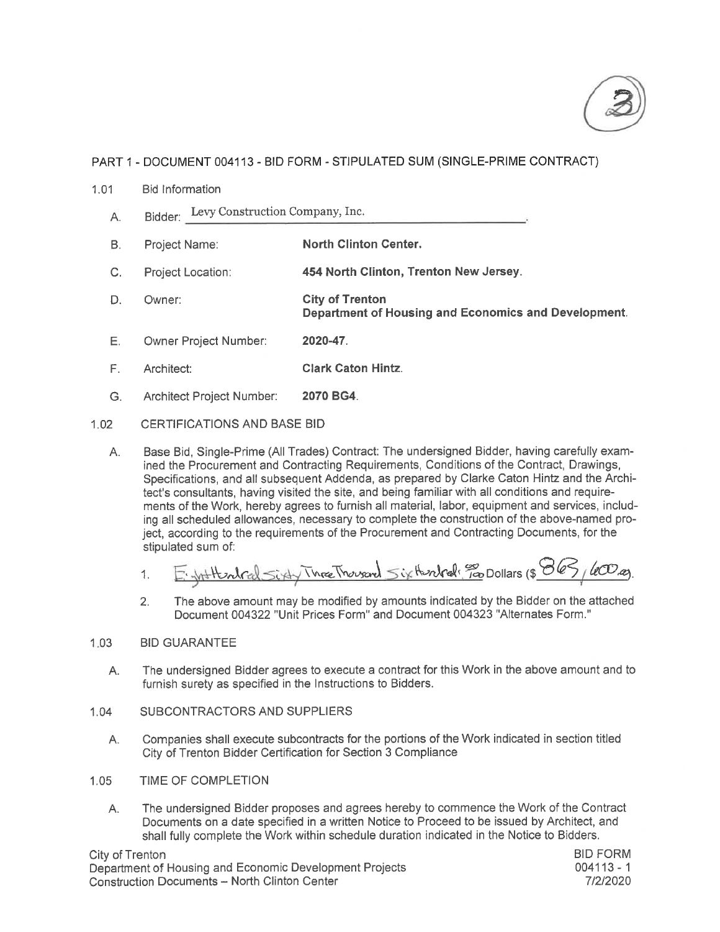

- $1.01$ **Bid Information** 
	- Bidder: Levy Construction Company, Inc. A.
	- **North Clinton Center.** B. Project Name:
	- $C_{1}$ Project Location: 454 North Clinton, Trenton New Jersey.
	- D. Owner: **City of Trenton** Department of Housing and Economics and Development.
	- E. Owner Project Number: 2020-47.
	- $F_{\rm{H}}$ **Clark Caton Hintz.** Architect:
	- G. Architect Project Number: 2070 BG4.

### $1.02$ **CERTIFICATIONS AND BASE BID**

Base Bid, Single-Prime (All Trades) Contract: The undersigned Bidder, having carefully exam- $A_{1}$ ined the Procurement and Contracting Requirements, Conditions of the Contract, Drawings, Specifications, and all subsequent Addenda, as prepared by Clarke Caton Hintz and the Architect's consultants, having visited the site, and being familiar with all conditions and requirements of the Work, hereby agrees to furnish all material, labor, equipment and services, including all scheduled allowances, necessary to complete the construction of the above-named project, according to the requirements of the Procurement and Contracting Documents, for the stipulated sum of:

E. With the placed Sixty Three Thousand Sixthendred: 30 Dollars (\$ 863/600.00). 1.

The above amount may be modified by amounts indicated by the Bidder on the attached  $2.$ Document 004322 "Unit Prices Form" and Document 004323 "Alternates Form."

#### $1:03$ **BID GUARANTEE**

- The undersigned Bidder agrees to execute a contract for this Work in the above amount and to Α. furnish surety as specified in the Instructions to Bidders.
- $1.04$ SUBCONTRACTORS AND SUPPLIERS
	- Companies shall execute subcontracts for the portions of the Work indicated in section titled A. City of Trenton Bidder Certification for Section 3 Compliance
- 1.05 TIME OF COMPLETION
	- The undersigned Bidder proposes and agrees hereby to commence the Work of the Contract А. Documents on a date specified in a written Notice to Proceed to be issued by Architect, and shall fully complete the Work within schedule duration indicated in the Notice to Bidders.

City of Trenton Department of Housing and Economic Development Projects Construction Documents - North Clinton Center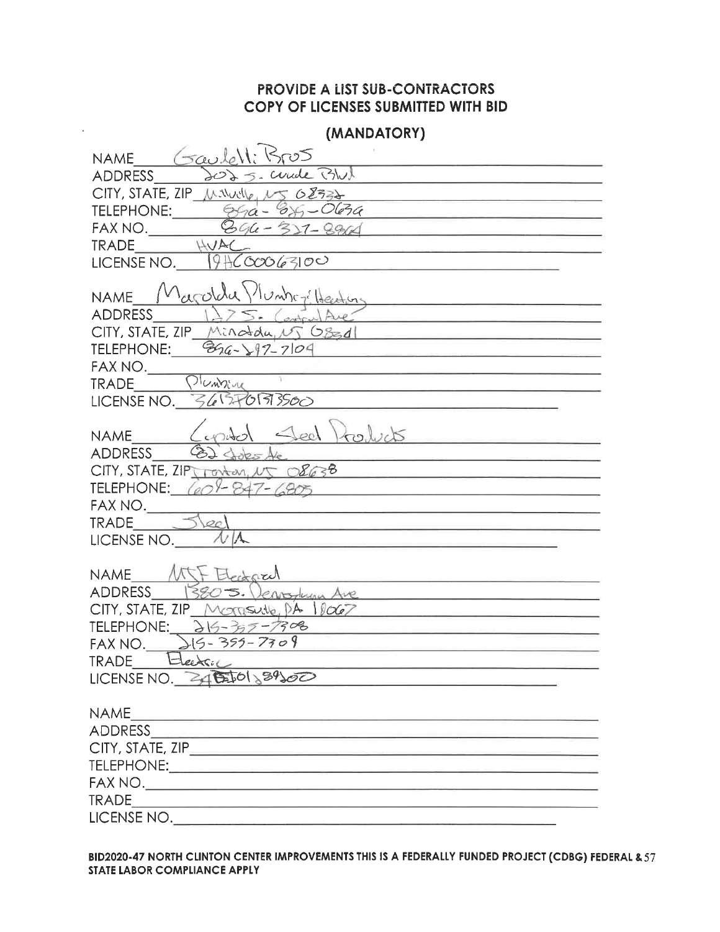ä,

| (MANDATORY)                                                                                                                                                                                                                                                    |
|----------------------------------------------------------------------------------------------------------------------------------------------------------------------------------------------------------------------------------------------------------------|
| NAME Gaulell<br>كصكا                                                                                                                                                                                                                                           |
| Cuade BWX<br>ADDRESS                                                                                                                                                                                                                                           |
| CITY, STATE, ZIP Minute, NS 08332<br>the control of the control of the control of the control of the control of the control of                                                                                                                                 |
| TELEPHONE: $\frac{\partial \mathcal{L}}{\partial \mathbf{a} - \mathbf{\partial} \mathbf{s}} = O(\mathbf{\partial} \mathbf{a})$                                                                                                                                 |
| FAX NO. $9964 - 327 - 8964$                                                                                                                                                                                                                                    |
| HUAC<br><b>TRADE</b>                                                                                                                                                                                                                                           |
| LICENSE NO. $9460006300$                                                                                                                                                                                                                                       |
| Marolda Munitors Heating<br><b>NAME</b>                                                                                                                                                                                                                        |
| the control of the control of the control of the control of the control of<br><b>ADDRESS</b><br>ontrul Ave                                                                                                                                                     |
| $CITY$ , STATE, ZIP $MindagW$ (SEA)<br><u> 1989 - Johann John Stone, mensk politik fotograf (</u>                                                                                                                                                              |
| TELEPHONE: $\frac{266-197-7104}{60}$                                                                                                                                                                                                                           |
|                                                                                                                                                                                                                                                                |
| FAX NO. DICADELLE<br>the contract of the contract of the contract of the contract of                                                                                                                                                                           |
| LICENSE NO. $3657093560$                                                                                                                                                                                                                                       |
| $\triangle$ eo                                                                                                                                                                                                                                                 |
| Products<br><b>NAME</b>                                                                                                                                                                                                                                        |
| <b>ADDRESS</b><br>CITY, STATE, ZIPT ronton, $15 \times 2638$                                                                                                                                                                                                   |
| <u> 1989 - Alexandria Santa Alexandria este al Indonesia este al Indonesia este al Indonesia este al Indonesia es</u><br>TELEPHONE: $(60) - 847 - 6805$                                                                                                        |
| FAX NO.                                                                                                                                                                                                                                                        |
| $\overline{\mathcal{O}}$<br><b>TRADE</b><br><u> 1950 - Bernard Bernard, amerikan bestean </u>                                                                                                                                                                  |
| LICENSE NO.                                                                                                                                                                                                                                                    |
|                                                                                                                                                                                                                                                                |
| NAME MIT Electoral                                                                                                                                                                                                                                             |
| 3805. Jeanstura Ave<br><b>ADDRESS</b>                                                                                                                                                                                                                          |
| $CITY$ , STATE, ZIP Morrisulle, $PA$ $10067$                                                                                                                                                                                                                   |
| TELEPHONE: $315 - 377 - 7308$<br><b>Contract Contract Contract Contract Contract</b>                                                                                                                                                                           |
| FAX NO. $215 - 355 - 7709$<br>TRADE Heedsic                                                                                                                                                                                                                    |
| <u> 1950 - An Bailte Ann an Amhair Aonaichte an Aonaichte ann an Aonaichte ann an Aonaichte ann an Aonaichte ann an Aonaichte ann an Aonaichte ann an Aonaichte ann an Aonaichte ann an Aonaichte ann an Aonaichte ann an Aonaic</u><br>LICENSE NO. 34 (20189) |
|                                                                                                                                                                                                                                                                |
| <b>NAME</b>                                                                                                                                                                                                                                                    |
|                                                                                                                                                                                                                                                                |
|                                                                                                                                                                                                                                                                |
|                                                                                                                                                                                                                                                                |
|                                                                                                                                                                                                                                                                |
|                                                                                                                                                                                                                                                                |
| LICENSE NO.                                                                                                                                                                                                                                                    |

BID2020-47 NORTH CLINTON CENTER IMPROVEMENTS THIS IS A FEDERALLY FUNDED PROJECT (CDBG) FEDERAL & 57 STATE LABOR COMPLIANCE APPLY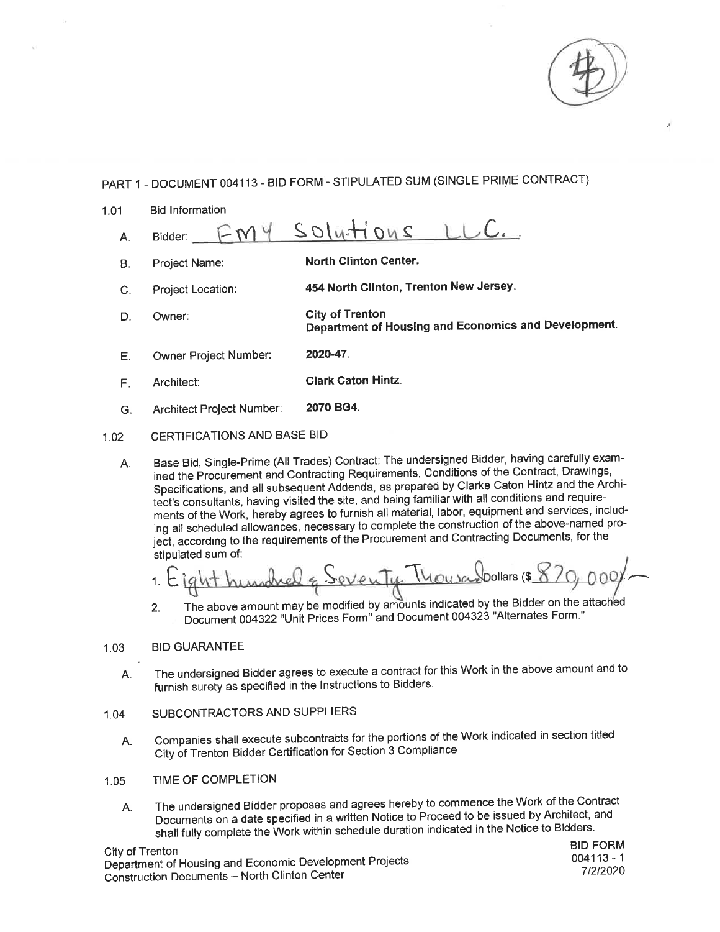| 1.01 | <b>Bid Information</b>      |                                                                                |
|------|-----------------------------|--------------------------------------------------------------------------------|
| Α.   | Bidder:                     | $200$ $H_{V}$                                                                  |
| Β.   | Project Name:               | <b>North Clinton Center.</b>                                                   |
| C.   | Project Location:           | 454 North Clinton, Trenton New Jersey.                                         |
| D.   | Owner:                      | <b>City of Trenton</b><br>Department of Housing and Economics and Development. |
| Е.   | Owner Project Number:       | 2020-47                                                                        |
| F    | Architect:                  | <b>Clark Caton Hintz.</b>                                                      |
| G.   | Architect Project Number:   | 2070 BG4.                                                                      |
| 1.02 | CERTIFICATIONS AND BASE BID |                                                                                |

Base Bid, Single-Prime (All Trades) Contract: The undersigned Bidder, having carefully exam-A. ined the Procurement and Contracting Requirements, Conditions of the Contract, Drawings, Specifications, and all subsequent Addenda, as prepared by Clarke Caton Hintz and the Architect's consultants, having visited the site, and being familiar with all conditions and requirements of the Work, hereby agrees to furnish all material, labor, equipment and services, including all scheduled allowances, necessary to complete the construction of the above-named project, according to the requirements of the Procurement and Contracting Documents, for the stipulated sum of:

 $\mathbf{1}$ 

The above amount may be modified by amounts indicated by the Bidder on the attached  $2.$ Document 004322 "Unit Prices Form" and Document 004323 "Alternates Form."

#### **BID GUARANTEE**  $1.03$

- The undersigned Bidder agrees to execute a contract for this Work in the above amount and to Α. furnish surety as specified in the Instructions to Bidders.
- SUBCONTRACTORS AND SUPPLIERS  $1.04$ 
	- Companies shall execute subcontracts for the portions of the Work indicated in section titled A. City of Trenton Bidder Certification for Section 3 Compliance
- TIME OF COMPLETION  $1.05$ 
	- The undersigned Bidder proposes and agrees hereby to commence the Work of the Contract Α. Documents on a date specified in a written Notice to Proceed to be issued by Architect, and shall fully complete the Work within schedule duration indicated in the Notice to Bidders.

City of Trenton Department of Housing and Economic Development Projects Construction Documents - North Clinton Center